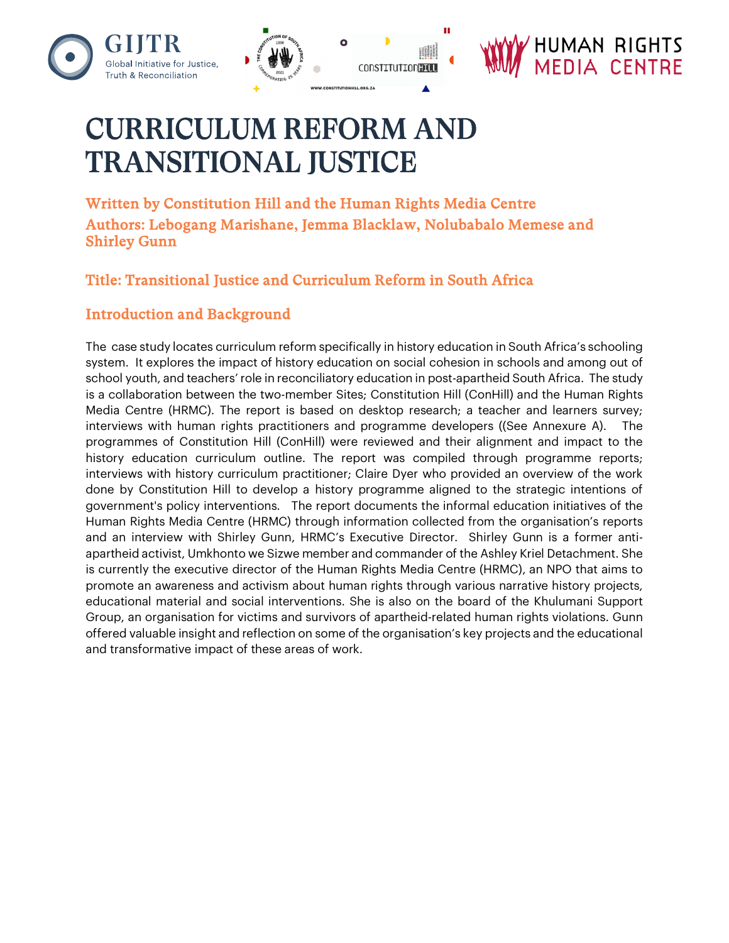





# CURRICULUM REFORM AND **TRANSITIONAL IUSTICE**

Written by Constitution Hill and the Human Rights Media Centre Authors: Lebogang Marishane, Jemma Blacklaw, Nolubabalo Memese and Shirley Gunn

# Title: Transitional Justice and Curriculum Reform in South Africa

## Introduction and Background

The case study locates curriculum reform specifically in history education in South Africa's schooling system. It explores the impact of history education on social cohesion in schools and among out of school youth, and teachers' role in reconciliatory education in post-apartheid South Africa. The study is a collaboration between the two-member Sites; Constitution Hill (ConHill) and the Human Rights Media Centre (HRMC). The report is based on desktop research; a teacher and learners survey; interviews with human rights practitioners and programme developers ((See Annexure A). The programmes of Constitution Hill (ConHill) were reviewed and their alignment and impact to the history education curriculum outline. The report was compiled through programme reports; interviews with history curriculum practitioner; Claire Dyer who provided an overview of the work done by Constitution Hill to develop a history programme aligned to the strategic intentions of government's policy interventions. The report documents the informal education initiatives of the Human Rights Media Centre (HRMC) through information collected from the organisation's reports and an interview with Shirley Gunn, HRMC's Executive Director. Shirley Gunn is a former antiapartheid activist, Umkhonto we Sizwe member and commander of the Ashley Kriel Detachment. She is currently the executive director of the Human Rights Media Centre (HRMC), an NPO that aims to promote an awareness and activism about human rights through various narrative history projects, educational material and social interventions. She is also on the board of the Khulumani Support Group, an organisation for victims and survivors of apartheid-related human rights violations. Gunn offered valuable insight and reflection on some of the organisation's key projects and the educational and transformative impact of these areas of work.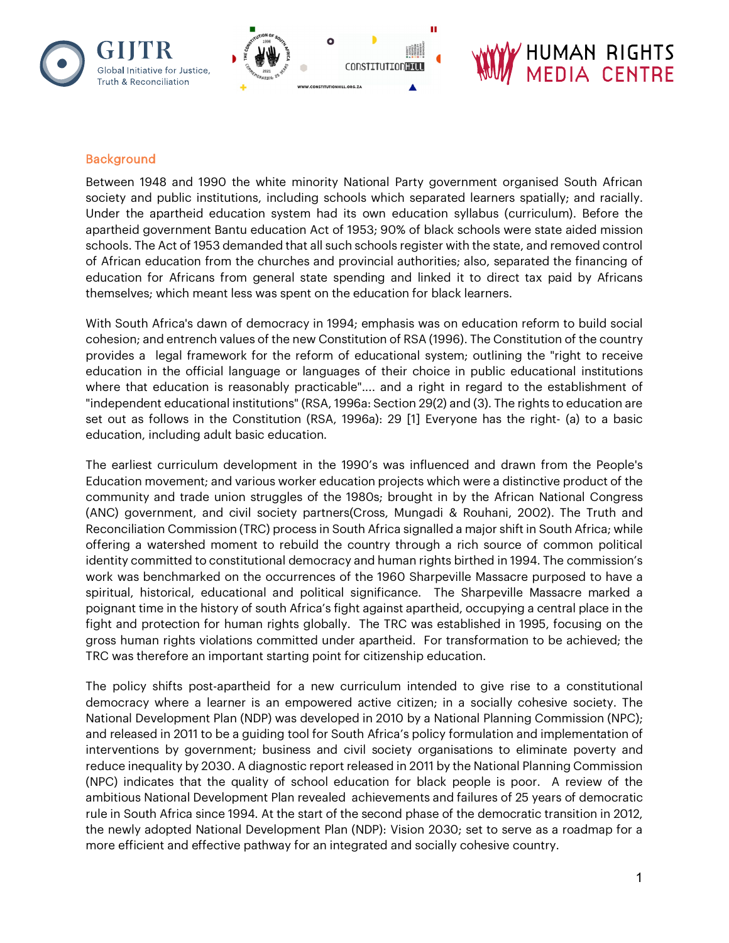

#### Background

Between 1948 and 1990 the white minority National Party government organised South African society and public institutions, including schools which separated learners spatially; and racially. Under the apartheid education system had its own education syllabus (curriculum). Before the apartheid government Bantu education Act of 1953; 90% of black schools were state aided mission schools. The Act of 1953 demanded that all such schools register with the state, and removed control of African education from the churches and provincial authorities; also, separated the financing of education for Africans from general state spending and linked it to direct tax paid by Africans themselves; which meant less was spent on the education for black learners.

With South Africa's dawn of democracy in 1994; emphasis was on education reform to build social cohesion; and entrench values of the new Constitution of RSA (1996). The Constitution of the country provides a legal framework for the reform of educational system; outlining the "right to receive education in the official language or languages of their choice in public educational institutions where that education is reasonably practicable".... and a right in regard to the establishment of "independent educational institutions" (RSA, 1996a: Section 29(2) and (3). The rights to education are set out as follows in the Constitution (RSA, 1996a): 29 [1] Everyone has the right- (a) to a basic education, including adult basic education.

The earliest curriculum development in the 1990's was influenced and drawn from the People's Education movement; and various worker education projects which were a distinctive product of the community and trade union struggles of the 1980s; brought in by the African National Congress (ANC) government, and civil society partners(Cross, Mungadi & Rouhani, 2002). The Truth and Reconciliation Commission (TRC) process in South Africa signalled a major shift in South Africa; while offering a watershed moment to rebuild the country through a rich source of common political identity committed to constitutional democracy and human rights birthed in 1994. The commission's work was benchmarked on the occurrences of the 1960 Sharpeville Massacre purposed to have a spiritual, historical, educational and political significance. The Sharpeville Massacre marked a poignant time in the history of south Africa's fight against apartheid, occupying a central place in the fight and protection for human rights globally. The TRC was established in 1995, focusing on the gross human rights violations committed under apartheid. For transformation to be achieved; the TRC was therefore an important starting point for citizenship education.

The policy shifts post-apartheid for a new curriculum intended to give rise to a constitutional democracy where a learner is an empowered active citizen; in a socially cohesive society. The National Development Plan (NDP) was developed in 2010 by a National Planning Commission (NPC); and released in 2011 to be a guiding tool for South Africa's policy formulation and implementation of interventions by government; business and civil society organisations to eliminate poverty and reduce inequality by 2030. A diagnostic report released in 2011 by the National Planning Commission (NPC) indicates that the quality of school education for black people is poor. A review of the ambitious National Development Plan revealed achievements and failures of 25 years of democratic rule in South Africa since 1994. At the start of the second phase of the democratic transition in 2012, the newly adopted National Development Plan (NDP): Vision 2030; set to serve as a roadmap for a more efficient and effective pathway for an integrated and socially cohesive country.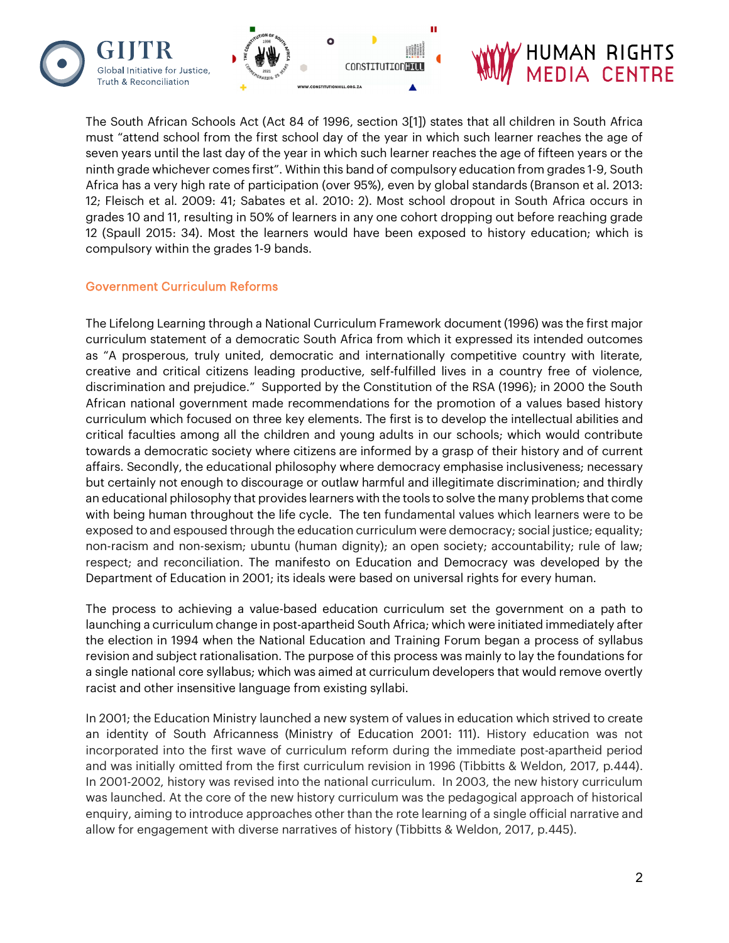



The South African Schools Act (Act 84 of 1996, section 3[1]) states that all children in South Africa must "attend school from the first school day of the year in which such learner reaches the age of seven years until the last day of the year in which such learner reaches the age of fifteen years or the ninth grade whichever comes first". Within this band of compulsory education from grades 1-9, South Africa has a very high rate of participation (over 95%), even by global standards (Branson et al. 2013: 12; Fleisch et al. 2009: 41; Sabates et al. 2010: 2). Most school dropout in South Africa occurs in grades 10 and 11, resulting in 50% of learners in any one cohort dropping out before reaching grade 12 (Spaull 2015: 34). Most the learners would have been exposed to history education; which is compulsory within the grades 1-9 bands.

#### Government Curriculum Reforms

The Lifelong Learning through a National Curriculum Framework document (1996) was the first major curriculum statement of a democratic South Africa from which it expressed its intended outcomes as "A prosperous, truly united, democratic and internationally competitive country with literate, creative and critical citizens leading productive, self-fulfilled lives in a country free of violence, discrimination and prejudice." Supported by the Constitution of the RSA (1996); in 2000 the South African national government made recommendations for the promotion of a values based history curriculum which focused on three key elements. The first is to develop the intellectual abilities and critical faculties among all the children and young adults in our schools; which would contribute towards a democratic society where citizens are informed by a grasp of their history and of current affairs. Secondly, the educational philosophy where democracy emphasise inclusiveness; necessary but certainly not enough to discourage or outlaw harmful and illegitimate discrimination; and thirdly an educational philosophy that provides learners with the tools to solve the many problems that come with being human throughout the life cycle. The ten fundamental values which learners were to be exposed to and espoused through the education curriculum were democracy; social justice; equality; non-racism and non-sexism; ubuntu (human dignity); an open society; accountability; rule of law; respect; and reconciliation. The manifesto on Education and Democracy was developed by the Department of Education in 2001; its ideals were based on universal rights for every human.

The process to achieving a value-based education curriculum set the government on a path to launching a curriculum change in post-apartheid South Africa; which were initiated immediately after the election in 1994 when the National Education and Training Forum began a process of syllabus revision and subject rationalisation. The purpose of this process was mainly to lay the foundations for a single national core syllabus; which was aimed at curriculum developers that would remove overtly racist and other insensitive language from existing syllabi.

In 2001; the Education Ministry launched a new system of values in education which strived to create an identity of South Africanness (Ministry of Education 2001: 111). History education was not incorporated into the first wave of curriculum reform during the immediate post-apartheid period and was initially omitted from the first curriculum revision in 1996 (Tibbitts & Weldon, 2017, p.444). In 2001-2002, history was revised into the national curriculum. In 2003, the new history curriculum was launched. At the core of the new history curriculum was the pedagogical approach of historical enquiry, aiming to introduce approaches other than the rote learning of a single official narrative and allow for engagement with diverse narratives of history (Tibbitts & Weldon, 2017, p.445).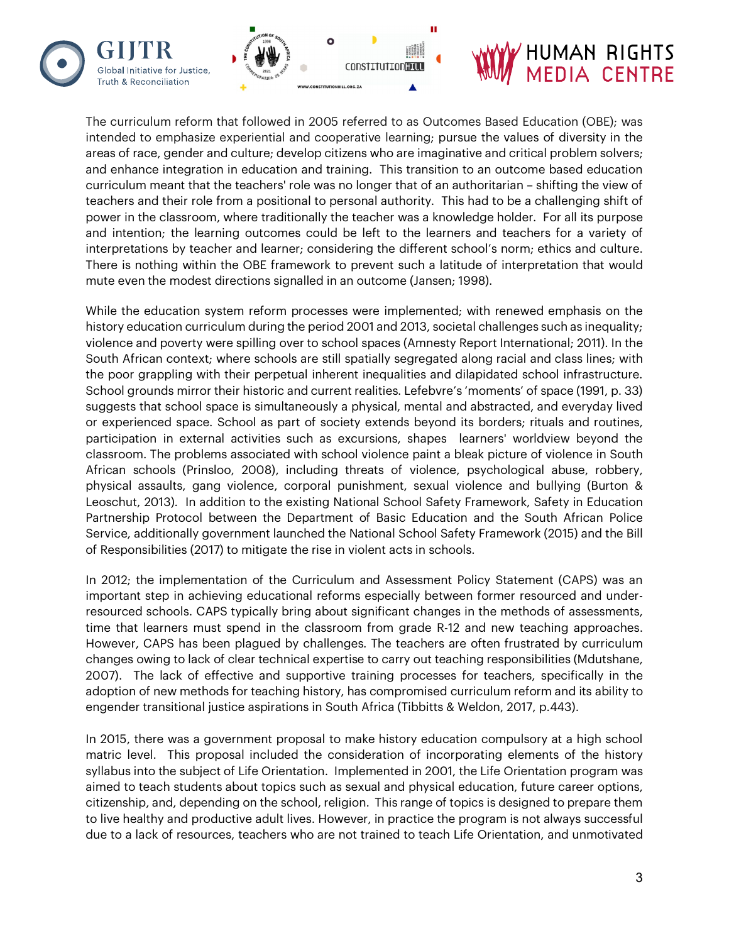

Truth & Reconciliation

# HUMAN RIGHTS<br>MEDIA CENTRE

The curriculum reform that followed in 2005 referred to as Outcomes Based Education (OBE); was intended to emphasize experiential and cooperative learning; pursue the values of diversity in the areas of race, gender and culture; develop citizens who are imaginative and critical problem solvers; and enhance integration in education and training. This transition to an outcome based education curriculum meant that the teachers' role was no longer that of an authoritarian – shifting the view of teachers and their role from a positional to personal authority. This had to be a challenging shift of power in the classroom, where traditionally the teacher was a knowledge holder. For all its purpose and intention; the learning outcomes could be left to the learners and teachers for a variety of interpretations by teacher and learner; considering the different school's norm; ethics and culture. There is nothing within the OBE framework to prevent such a latitude of interpretation that would mute even the modest directions signalled in an outcome (Jansen; 1998).

While the education system reform processes were implemented; with renewed emphasis on the history education curriculum during the period 2001 and 2013, societal challenges such as inequality; violence and poverty were spilling over to school spaces (Amnesty Report International; 2011). In the South African context; where schools are still spatially segregated along racial and class lines; with the poor grappling with their perpetual inherent inequalities and dilapidated school infrastructure. School grounds mirror their historic and current realities. Lefebvre's 'moments' of space (1991, p. 33) suggests that school space is simultaneously a physical, mental and abstracted, and everyday lived or experienced space. School as part of society extends beyond its borders; rituals and routines, participation in external activities such as excursions, shapes learners' worldview beyond the classroom. The problems associated with school violence paint a bleak picture of violence in South African schools (Prinsloo, 2008), including threats of violence, psychological abuse, robbery, physical assaults, gang violence, corporal punishment, sexual violence and bullying (Burton & Leoschut, 2013). In addition to the existing National School Safety Framework, Safety in Education Partnership Protocol between the Department of Basic Education and the South African Police Service, additionally government launched the National School Safety Framework (2015) and the Bill of Responsibilities (2017) to mitigate the rise in violent acts in schools.

In 2012; the implementation of the Curriculum and Assessment Policy Statement (CAPS) was an important step in achieving educational reforms especially between former resourced and underresourced schools. CAPS typically bring about significant changes in the methods of assessments, time that learners must spend in the classroom from grade R-12 and new teaching approaches. However, CAPS has been plagued by challenges. The teachers are often frustrated by curriculum changes owing to lack of clear technical expertise to carry out teaching responsibilities (Mdutshane, 2007). The lack of effective and supportive training processes for teachers, specifically in the adoption of new methods for teaching history, has compromised curriculum reform and its ability to engender transitional justice aspirations in South Africa (Tibbitts & Weldon, 2017, p.443).

In 2015, there was a government proposal to make history education compulsory at a high school matric level. This proposal included the consideration of incorporating elements of the history syllabus into the subject of Life Orientation. Implemented in 2001, the Life Orientation program was aimed to teach students about topics such as sexual and physical education, future career options, citizenship, and, depending on the school, religion. This range of topics is designed to prepare them to live healthy and productive adult lives. However, in practice the program is not always successful due to a lack of resources, teachers who are not trained to teach Life Orientation, and unmotivated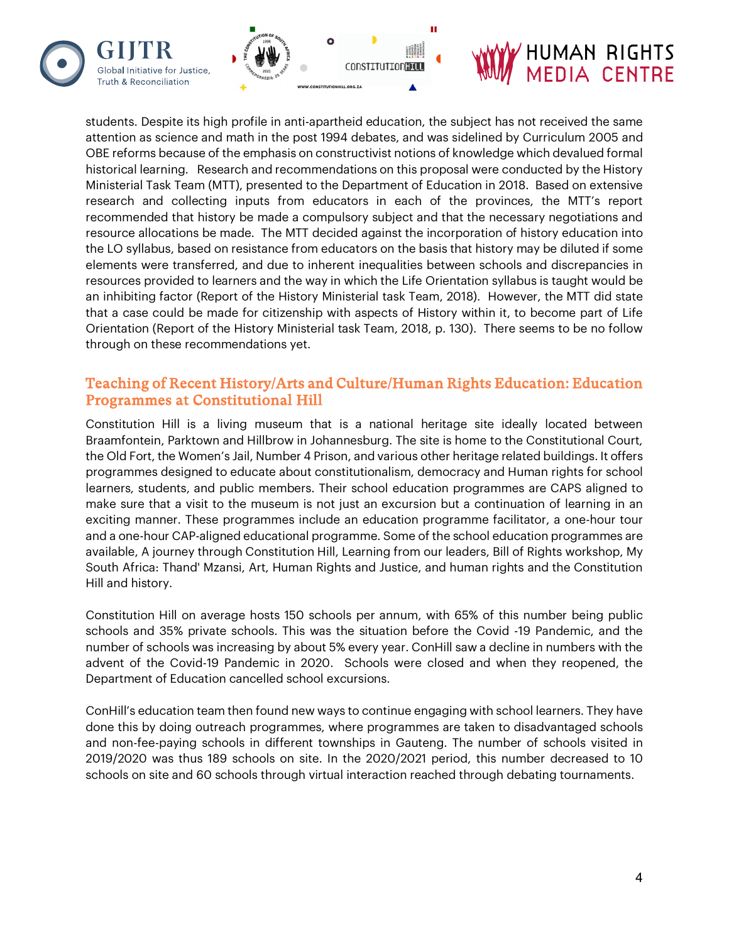

students. Despite its high profile in anti-apartheid education, the subject has not received the same attention as science and math in the post 1994 debates, and was sidelined by Curriculum 2005 and OBE reforms because of the emphasis on constructivist notions of knowledge which devalued formal historical learning. Research and recommendations on this proposal were conducted by the History Ministerial Task Team (MTT), presented to the Department of Education in 2018. Based on extensive research and collecting inputs from educators in each of the provinces, the MTT's report recommended that history be made a compulsory subject and that the necessary negotiations and resource allocations be made. The MTT decided against the incorporation of history education into the LO syllabus, based on resistance from educators on the basis that history may be diluted if some elements were transferred, and due to inherent inequalities between schools and discrepancies in resources provided to learners and the way in which the Life Orientation syllabus is taught would be an inhibiting factor (Report of the History Ministerial task Team, 2018). However, the MTT did state that a case could be made for citizenship with aspects of History within it, to become part of Life Orientation (Report of the History Ministerial task Team, 2018, p. 130). There seems to be no follow through on these recommendations yet.

### Teaching of Recent History/Arts and Culture/Human Rights Education: Education Programmes at Constitutional Hill

Constitution Hill is a living museum that is a national heritage site ideally located between Braamfontein, Parktown and Hillbrow in Johannesburg. The site is home to the Constitutional Court, the Old Fort, the Women's Jail, Number 4 Prison, and various other heritage related buildings. It offers programmes designed to educate about constitutionalism, democracy and Human rights for school learners, students, and public members. Their school education programmes are CAPS aligned to make sure that a visit to the museum is not just an excursion but a continuation of learning in an exciting manner. These programmes include an education programme facilitator, a one-hour tour and a one-hour CAP-aligned educational programme. Some of the school education programmes are available, A journey through Constitution Hill, Learning from our leaders, Bill of Rights workshop, My South Africa: Thand' Mzansi, Art, Human Rights and Justice, and human rights and the Constitution Hill and history.

Constitution Hill on average hosts 150 schools per annum, with 65% of this number being public schools and 35% private schools. This was the situation before the Covid -19 Pandemic, and the number of schools was increasing by about 5% every year. ConHill saw a decline in numbers with the advent of the Covid-19 Pandemic in 2020. Schools were closed and when they reopened, the Department of Education cancelled school excursions.

ConHill's education team then found new ways to continue engaging with school learners. They have done this by doing outreach programmes, where programmes are taken to disadvantaged schools and non-fee-paying schools in different townships in Gauteng. The number of schools visited in 2019/2020 was thus 189 schools on site. In the 2020/2021 period, this number decreased to 10 schools on site and 60 schools through virtual interaction reached through debating tournaments.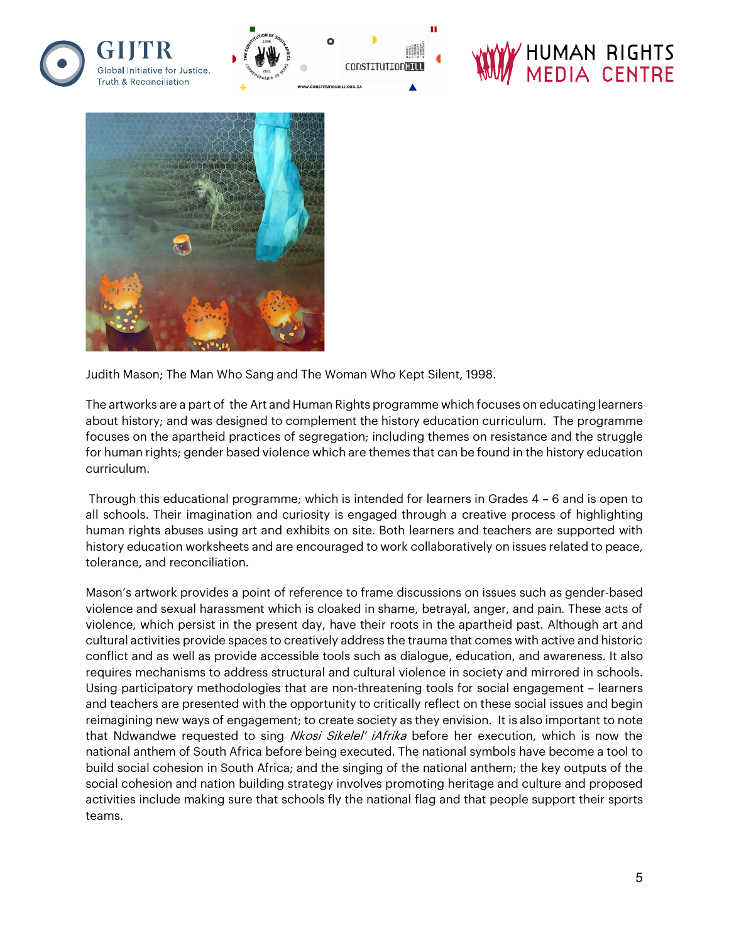

п



Judith Mason; The Man Who Sang and The Woman Who Kept Silent, 1998.

The artworks are a part of the Art and Human Rights programme which focuses on educating learners about history; and was designed to complement the history education curriculum. The programme focuses on the apartheid practices of segregation; including themes on resistance and the struggle for human rights; gender based violence which are themes that can be found in the history education curriculum.

Through this educational programme; which is intended for learners in Grades 4 – 6 and is open to all schools. Their imagination and curiosity is engaged through a creative process of highlighting human rights abuses using art and exhibits on site. Both learners and teachers are supported with history education worksheets and are encouraged to work collaboratively on issues related to peace, tolerance, and reconciliation.

Mason's artwork provides a point of reference to frame discussions on issues such as gender-based violence and sexual harassment which is cloaked in shame, betrayal, anger, and pain. These acts of violence, which persist in the present day, have their roots in the apartheid past. Although art and cultural activities provide spaces to creatively address the trauma that comes with active and historic conflict and as well as provide accessible tools such as dialogue, education, and awareness. It also requires mechanisms to address structural and cultural violence in society and mirrored in schools. Using participatory methodologies that are non-threatening tools for social engagement – learners and teachers are presented with the opportunity to critically reflect on these social issues and begin reimagining new ways of engagement; to create society as they envision. It is also important to note that Ndwandwe requested to sing Nkosi Sikelel' iAfrika before her execution, which is now the national anthem of South Africa before being executed. The national symbols have become a tool to build social cohesion in South Africa; and the singing of the national anthem; the key outputs of the social cohesion and nation building strategy involves promoting heritage and culture and proposed activities include making sure that schools fly the national flag and that people support their sports teams.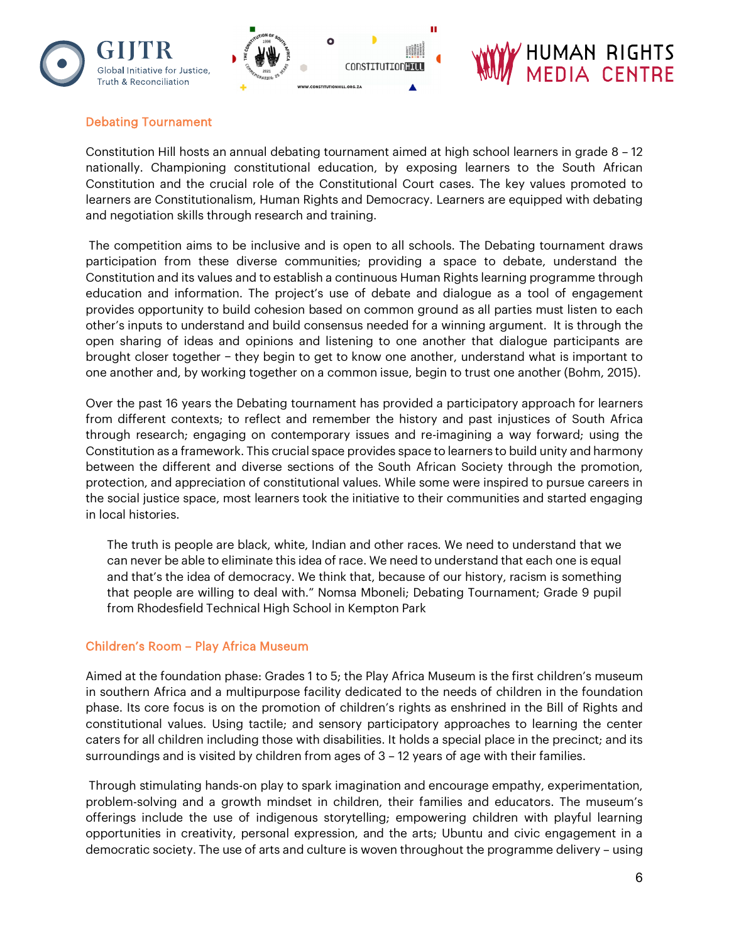

#### Debating Tournament

Constitution Hill hosts an annual debating tournament aimed at high school learners in grade 8 – 12 nationally. Championing constitutional education, by exposing learners to the South African Constitution and the crucial role of the Constitutional Court cases. The key values promoted to learners are Constitutionalism, Human Rights and Democracy. Learners are equipped with debating and negotiation skills through research and training.

The competition aims to be inclusive and is open to all schools. The Debating tournament draws participation from these diverse communities; providing a space to debate, understand the Constitution and its values and to establish a continuous Human Rights learning programme through education and information. The project's use of debate and dialogue as a tool of engagement provides opportunity to build cohesion based on common ground as all parties must listen to each other's inputs to understand and build consensus needed for a winning argument. It is through the open sharing of ideas and opinions and listening to one another that dialogue participants are brought closer together − they begin to get to know one another, understand what is important to one another and, by working together on a common issue, begin to trust one another (Bohm, 2015).

Over the past 16 years the Debating tournament has provided a participatory approach for learners from different contexts; to reflect and remember the history and past injustices of South Africa through research; engaging on contemporary issues and re-imagining a way forward; using the Constitution as a framework. This crucial space provides space to learners to build unity and harmony between the different and diverse sections of the South African Society through the promotion, protection, and appreciation of constitutional values. While some were inspired to pursue careers in the social justice space, most learners took the initiative to their communities and started engaging in local histories.

The truth is people are black, white, Indian and other races. We need to understand that we can never be able to eliminate this idea of race. We need to understand that each one is equal and that's the idea of democracy. We think that, because of our history, racism is something that people are willing to deal with." Nomsa Mboneli; Debating Tournament; Grade 9 pupil from Rhodesfield Technical High School in Kempton Park

#### Children's Room – Play Africa Museum

Aimed at the foundation phase: Grades 1 to 5; the Play Africa Museum is the first children's museum in southern Africa and a multipurpose facility dedicated to the needs of children in the foundation phase. Its core focus is on the promotion of children's rights as enshrined in the Bill of Rights and constitutional values. Using tactile; and sensory participatory approaches to learning the center caters for all children including those with disabilities. It holds a special place in the precinct; and its surroundings and is visited by children from ages of 3 – 12 years of age with their families.

Through stimulating hands-on play to spark imagination and encourage empathy, experimentation, problem-solving and a growth mindset in children, their families and educators. The museum's offerings include the use of indigenous storytelling; empowering children with playful learning opportunities in creativity, personal expression, and the arts; Ubuntu and civic engagement in a democratic society. The use of arts and culture is woven throughout the programme delivery – using

HUMAN RIGHTS<br>MEDIA CENTRE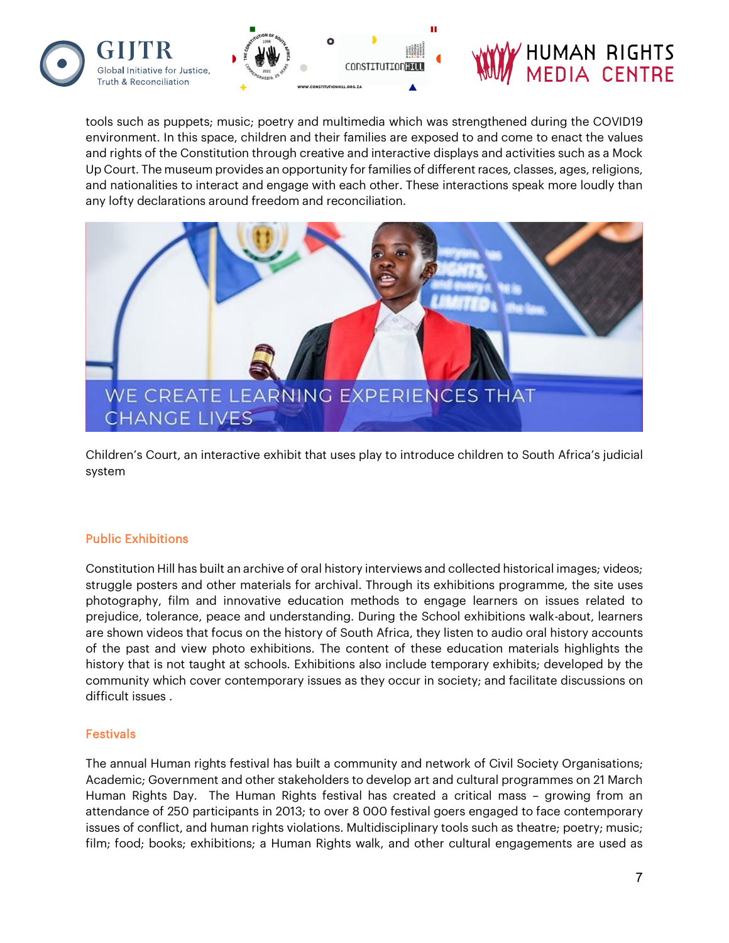



tools such as puppets; music; poetry and multimedia which was strengthened during the COVID19 environment. In this space, children and their families are exposed to and come to enact the values and rights of the Constitution through creative and interactive displays and activities such as a Mock Up Court. The museum provides an opportunity for families of different races, classes, ages, religions, and nationalities to interact and engage with each other. These interactions speak more loudly than any lofty declarations around freedom and reconciliation.



Children's Court, an interactive exhibit that uses play to introduce children to South Africa's judicial system

#### Public Exhibitions

Constitution Hill has built an archive of oral history interviews and collected historical images; videos; struggle posters and other materials for archival. Through its exhibitions programme, the site uses photography, film and innovative education methods to engage learners on issues related to prejudice, tolerance, peace and understanding. During the School exhibitions walk-about, learners are shown videos that focus on the history of South Africa, they listen to audio oral history accounts of the past and view photo exhibitions. The content of these education materials highlights the history that is not taught at schools. Exhibitions also include temporary exhibits; developed by the community which cover contemporary issues as they occur in society; and facilitate discussions on difficult issues .

#### Festivals

The annual Human rights festival has built a community and network of Civil Society Organisations; Academic; Government and other stakeholders to develop art and cultural programmes on 21 March Human Rights Day. The Human Rights festival has created a critical mass – growing from an attendance of 250 participants in 2013; to over 8 000 festival goers engaged to face contemporary issues of conflict, and human rights violations. Multidisciplinary tools such as theatre; poetry; music; film; food; books; exhibitions; a Human Rights walk, and other cultural engagements are used as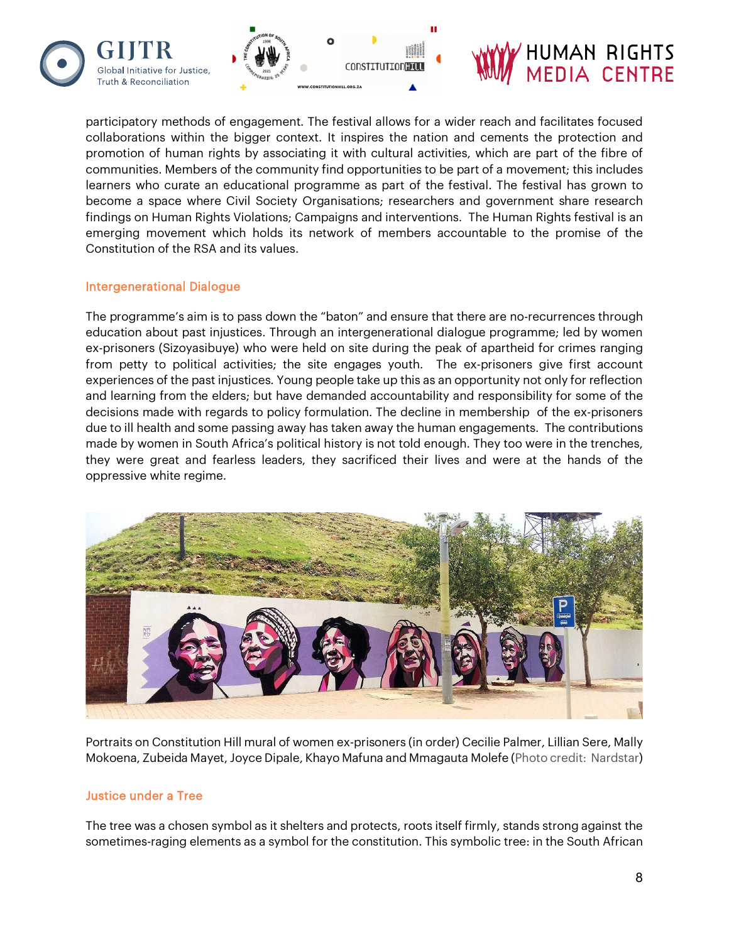



#### participatory methods of engagement. The festival allows for a wider reach and facilitates focused collaborations within the bigger context. It inspires the nation and cements the protection and promotion of human rights by associating it with cultural activities, which are part of the fibre of communities. Members of the community find opportunities to be part of a movement; this includes learners who curate an educational programme as part of the festival. The festival has grown to become a space where Civil Society Organisations; researchers and government share research findings on Human Rights Violations; Campaigns and interventions. The Human Rights festival is an emerging movement which holds its network of members accountable to the promise of the Constitution of the RSA and its values.

#### Intergenerational Dialogue

The programme's aim is to pass down the "baton" and ensure that there are no-recurrences through education about past injustices. Through an intergenerational dialogue programme; led by women ex-prisoners (Sizoyasibuye) who were held on site during the peak of apartheid for crimes ranging from petty to political activities; the site engages youth. The ex-prisoners give first account experiences of the past injustices. Young people take up this as an opportunity not only for reflection and learning from the elders; but have demanded accountability and responsibility for some of the decisions made with regards to policy formulation. The decline in membership of the ex-prisoners due to ill health and some passing away has taken away the human engagements. The contributions made by women in South Africa's political history is not told enough. They too were in the trenches, they were great and fearless leaders, they sacrificed their lives and were at the hands of the oppressive white regime.



Portraits on Constitution Hill mural of women ex-prisoners (in order) Cecilie Palmer, Lillian Sere, Mally Mokoena, Zubeida Mayet, Joyce Dipale, Khayo Mafuna and Mmagauta Molefe (Photo credit: Nardstar)

#### Justice under a Tree

The tree was a chosen symbol as it shelters and protects, roots itself firmly, stands strong against the sometimes-raging elements as a symbol for the constitution. This symbolic tree: in the South African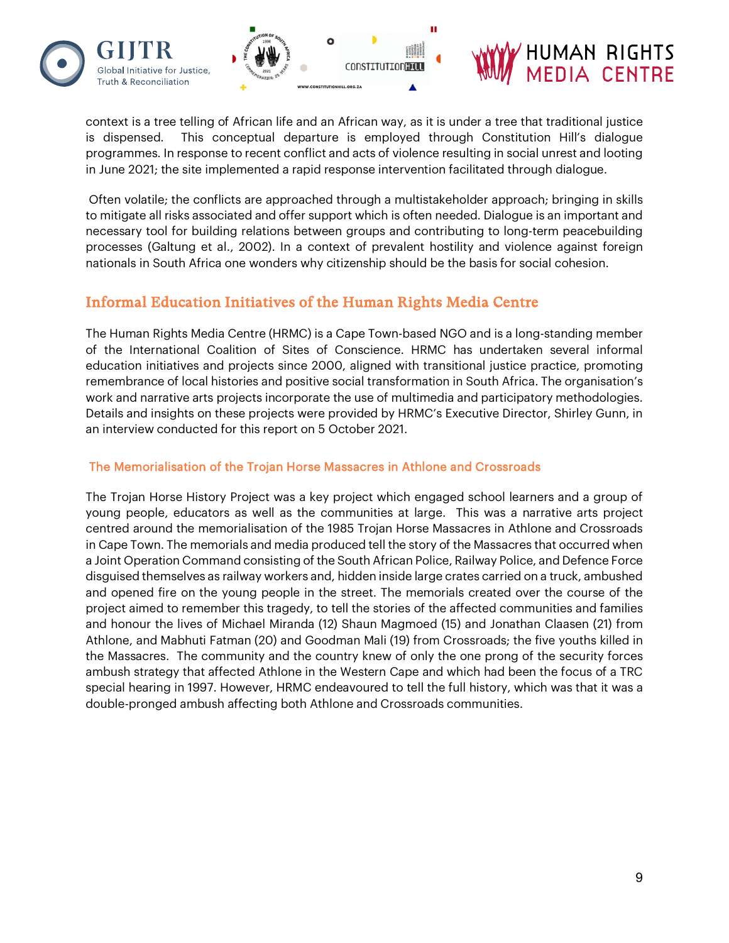

context is a tree telling of African life and an African way, as it is under a tree that traditional justice is dispensed. This conceptual departure is employed through Constitution Hill's dialogue programmes. In response to recent conflict and acts of violence resulting in social unrest and looting in June 2021; the site implemented a rapid response intervention facilitated through dialogue.

Often volatile; the conflicts are approached through a multistakeholder approach; bringing in skills to mitigate all risks associated and offer support which is often needed. Dialogue is an important and necessary tool for building relations between groups and contributing to long-term peacebuilding processes (Galtung et al., 2002). In a context of prevalent hostility and violence against foreign nationals in South Africa one wonders why citizenship should be the basis for social cohesion.

### Informal Education Initiatives of the Human Rights Media Centre

The Human Rights Media Centre (HRMC) is a Cape Town-based NGO and is a long-standing member of the International Coalition of Sites of Conscience. HRMC has undertaken several informal education initiatives and projects since 2000, aligned with transitional justice practice, promoting remembrance of local histories and positive social transformation in South Africa. The organisation's work and narrative arts projects incorporate the use of multimedia and participatory methodologies. Details and insights on these projects were provided by HRMC's Executive Director, Shirley Gunn, in an interview conducted for this report on 5 October 2021.

#### The Memorialisation of the Trojan Horse Massacres in Athlone and Crossroads

The Trojan Horse History Project was a key project which engaged school learners and a group of young people, educators as well as the communities at large. This was a narrative arts project centred around the memorialisation of the 1985 Trojan Horse Massacres in Athlone and Crossroads in Cape Town. The memorials and media produced tell the story of the Massacres that occurred when a Joint Operation Command consisting of the South African Police, Railway Police, and Defence Force disguised themselves as railway workers and, hidden inside large crates carried on a truck, ambushed and opened fire on the young people in the street. The memorials created over the course of the project aimed to remember this tragedy, to tell the stories of the affected communities and families and honour the lives of Michael Miranda (12) Shaun Magmoed (15) and Jonathan Claasen (21) from Athlone, and Mabhuti Fatman (20) and Goodman Mali (19) from Crossroads; the five youths killed in the Massacres. The community and the country knew of only the one prong of the security forces ambush strategy that affected Athlone in the Western Cape and which had been the focus of a TRC special hearing in 1997. However, HRMC endeavoured to tell the full history, which was that it was a double-pronged ambush affecting both Athlone and Crossroads communities.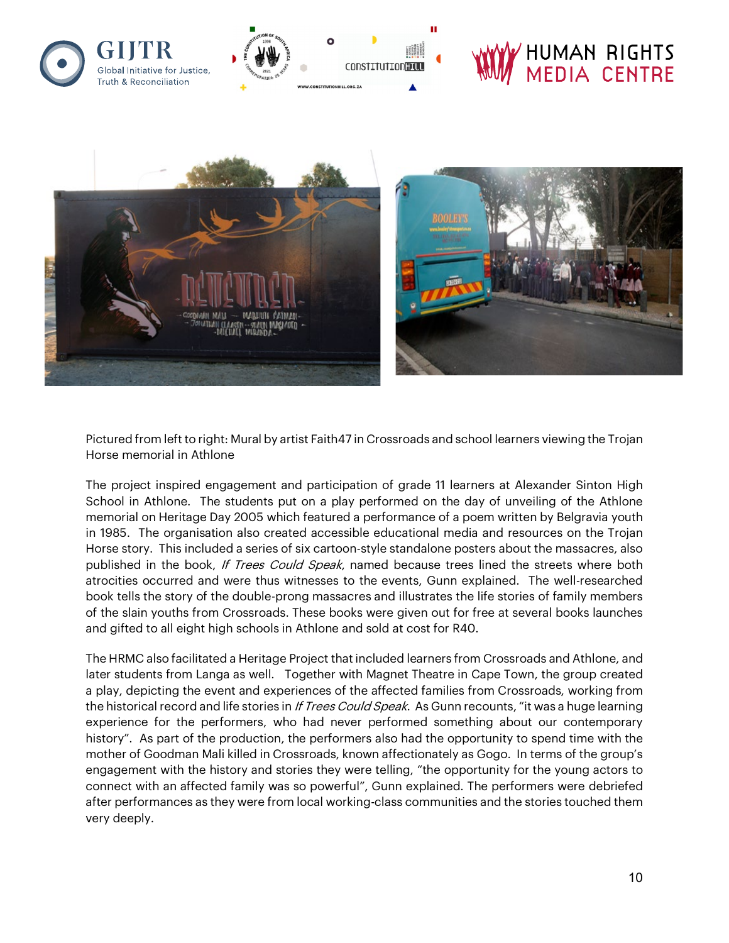

Pictured from left to right: Mural by artist Faith47 in Crossroads and school learners viewing the Trojan Horse memorial in Athlone

The project inspired engagement and participation of grade 11 learners at Alexander Sinton High School in Athlone. The students put on a play performed on the day of unveiling of the Athlone memorial on Heritage Day 2005 which featured a performance of a poem written by Belgravia youth in 1985. The organisation also created accessible educational media and resources on the Trojan Horse story. This included a series of six cartoon-style standalone posters about the massacres, also published in the book, If Trees Could Speak, named because trees lined the streets where both atrocities occurred and were thus witnesses to the events, Gunn explained. The well-researched book tells the story of the double-prong massacres and illustrates the life stories of family members of the slain youths from Crossroads. These books were given out for free at several books launches and gifted to all eight high schools in Athlone and sold at cost for R40.

The HRMC also facilitated a Heritage Project that included learners from Crossroads and Athlone, and later students from Langa as well. Together with Magnet Theatre in Cape Town, the group created a play, depicting the event and experiences of the affected families from Crossroads, working from the historical record and life stories in If Trees Could Speak. As Gunn recounts, "it was a huge learning experience for the performers, who had never performed something about our contemporary history". As part of the production, the performers also had the opportunity to spend time with the mother of Goodman Mali killed in Crossroads, known affectionately as Gogo. In terms of the group's engagement with the history and stories they were telling, "the opportunity for the young actors to connect with an affected family was so powerful", Gunn explained. The performers were debriefed after performances as they were from local working-class communities and the stories touched them very deeply.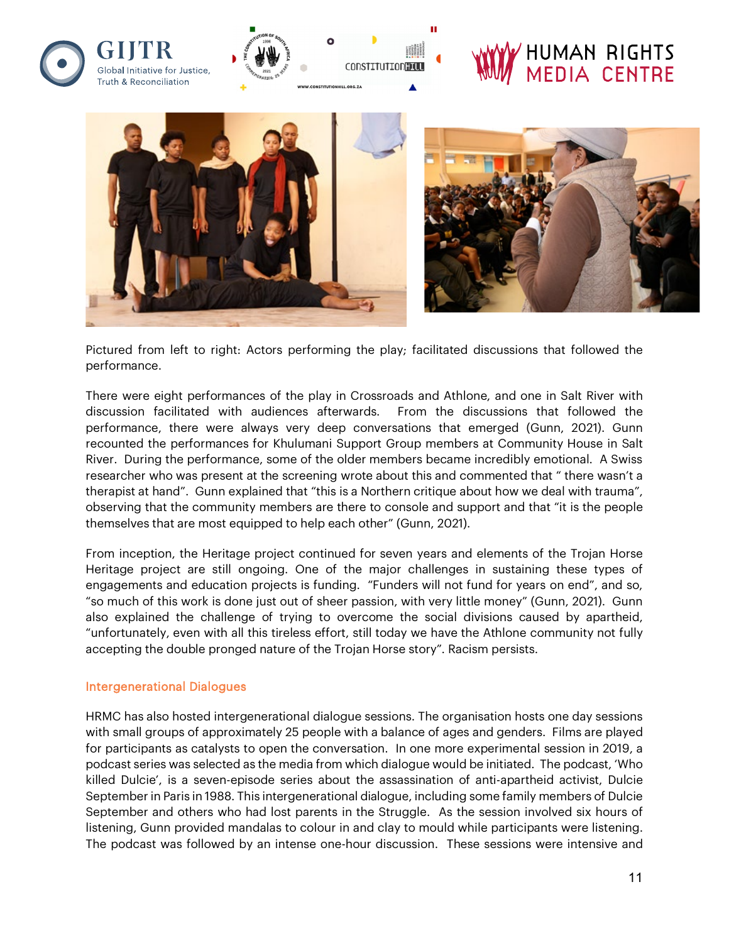

Pictured from left to right: Actors performing the play; facilitated discussions that followed the performance.

There were eight performances of the play in Crossroads and Athlone, and one in Salt River with discussion facilitated with audiences afterwards. From the discussions that followed the performance, there were always very deep conversations that emerged (Gunn, 2021). Gunn recounted the performances for Khulumani Support Group members at Community House in Salt River. During the performance, some of the older members became incredibly emotional. A Swiss researcher who was present at the screening wrote about this and commented that " there wasn't a therapist at hand". Gunn explained that "this is a Northern critique about how we deal with trauma", observing that the community members are there to console and support and that "it is the people themselves that are most equipped to help each other" (Gunn, 2021).

From inception, the Heritage project continued for seven years and elements of the Trojan Horse Heritage project are still ongoing. One of the major challenges in sustaining these types of engagements and education projects is funding. "Funders will not fund for years on end", and so, "so much of this work is done just out of sheer passion, with very little money" (Gunn, 2021). Gunn also explained the challenge of trying to overcome the social divisions caused by apartheid, "unfortunately, even with all this tireless effort, still today we have the Athlone community not fully accepting the double pronged nature of the Trojan Horse story". Racism persists.

#### Intergenerational Dialogues

HRMC has also hosted intergenerational dialogue sessions. The organisation hosts one day sessions with small groups of approximately 25 people with a balance of ages and genders. Films are played for participants as catalysts to open the conversation. In one more experimental session in 2019, a podcast series was selected as the media from which dialogue would be initiated. The podcast, 'Who killed Dulcie', is a seven-episode series about the assassination of anti-apartheid activist, Dulcie September in Paris in 1988. This intergenerational dialogue, including some family members of Dulcie September and others who had lost parents in the Struggle. As the session involved six hours of listening, Gunn provided mandalas to colour in and clay to mould while participants were listening. The podcast was followed by an intense one-hour discussion. These sessions were intensive and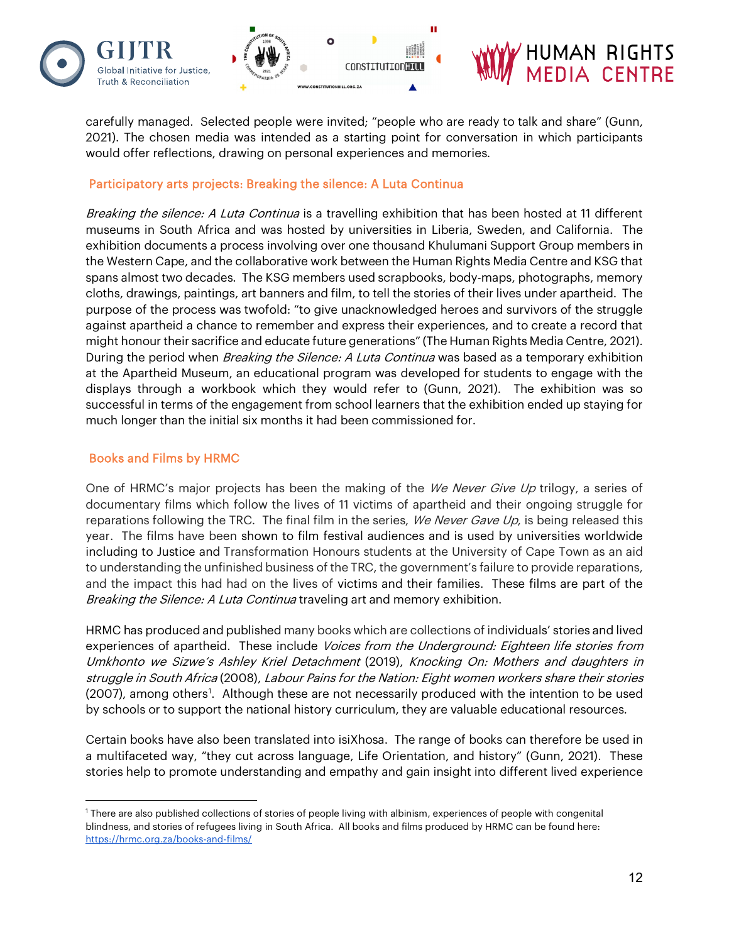

carefully managed. Selected people were invited; "people who are ready to talk and share" (Gunn, 2021). The chosen media was intended as a starting point for conversation in which participants would offer reflections, drawing on personal experiences and memories.

#### Participatory arts projects: Breaking the silence: A Luta Continua

Breaking the silence: A Luta Continua is a travelling exhibition that has been hosted at 11 different museums in South Africa and was hosted by universities in Liberia, Sweden, and California. The exhibition documents a process involving over one thousand Khulumani Support Group members in the Western Cape, and the collaborative work between the Human Rights Media Centre and KSG that spans almost two decades. The KSG members used scrapbooks, body-maps, photographs, memory cloths, drawings, paintings, art banners and film, to tell the stories of their lives under apartheid. The purpose of the process was twofold: "to give unacknowledged heroes and survivors of the struggle against apartheid a chance to remember and express their experiences, and to create a record that might honour their sacrifice and educate future generations" (The Human Rights Media Centre, 2021). During the period when *Breaking the Silence: A Luta Continua* was based as a temporary exhibition at the Apartheid Museum, an educational program was developed for students to engage with the displays through a workbook which they would refer to (Gunn, 2021). The exhibition was so successful in terms of the engagement from school learners that the exhibition ended up staying for much longer than the initial six months it had been commissioned for.

#### Books and Films by HRMC

One of HRMC's major projects has been the making of the *We Never Give Up* trilogy, a series of documentary films which follow the lives of 11 victims of apartheid and their ongoing struggle for reparations following the TRC. The final film in the series, We Never Gave Up, is being released this year. The films have been shown to film festival audiences and is used by universities worldwide including to Justice and Transformation Honours students at the University of Cape Town as an aid to understanding the unfinished business of the TRC, the government's failure to provide reparations, and the impact this had had on the lives of victims and their families. These films are part of the Breaking the Silence: A Luta Continua traveling art and memory exhibition.

HRMC has produced and published many books which are collections of individuals' stories and lived experiences of apartheid. These include Voices from the Underground: Eighteen life stories from Umkhonto we Sizwe's Ashley Kriel Detachment (2019), Knocking On: Mothers and daughters in struggle in South Africa (2008), Labour Pains for the Nation: Eight women workers share their stories (2007), among others<sup>[1](#page-12-0)</sup>. Although these are not necessarily produced with the intention to be used by schools or to support the national history curriculum, they are valuable educational resources.

Certain books have also been translated into isiXhosa. The range of books can therefore be used in a multifaceted way, "they cut across language, Life Orientation, and history" (Gunn, 2021). These stories help to promote understanding and empathy and gain insight into different lived experience

<span id="page-12-0"></span><sup>1</sup> There are also published collections of stories of people living with albinism, experiences of people with congenital blindness, and stories of refugees living in South Africa. All books and films produced by HRMC can be found here[:](https://hrmc.org.za/books-and-films/) <https://hrmc.org.za/books-and-films/>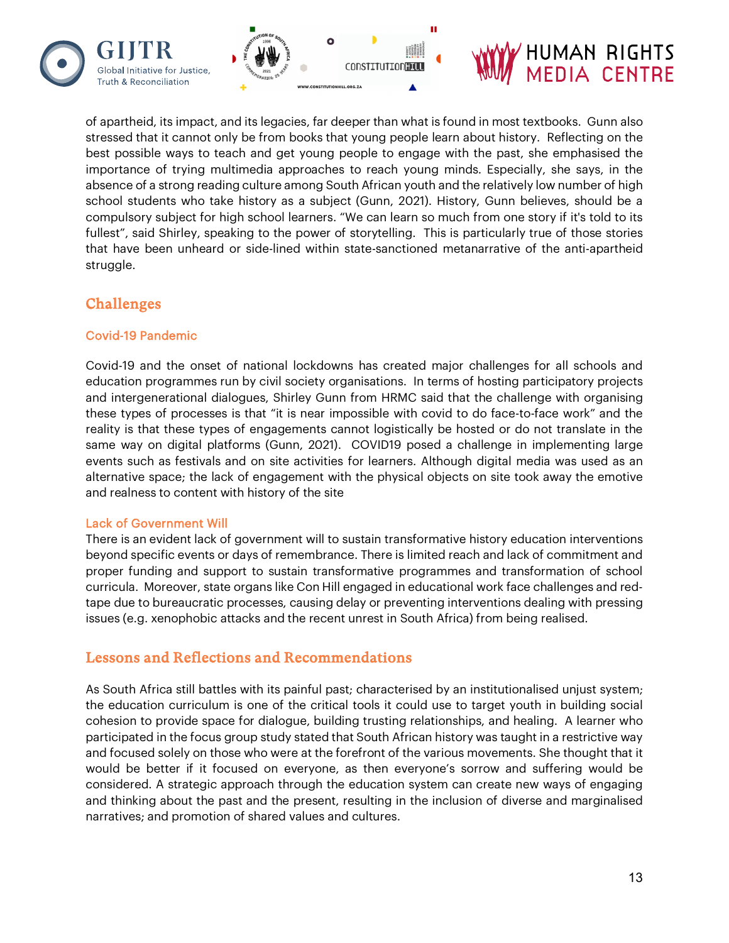



of apartheid, its impact, and its legacies, far deeper than what is found in most textbooks. Gunn also stressed that it cannot only be from books that young people learn about history. Reflecting on the best possible ways to teach and get young people to engage with the past, she emphasised the importance of trying multimedia approaches to reach young minds. Especially, she says, in the absence of a strong reading culture among South African youth and the relatively low number of high school students who take history as a subject (Gunn, 2021). History, Gunn believes, should be a compulsory subject for high school learners. "We can learn so much from one story if it's told to its fullest", said Shirley, speaking to the power of storytelling. This is particularly true of those stories that have been unheard or side-lined within state-sanctioned metanarrative of the anti-apartheid struggle.

### Challenges

#### Covid-19 Pandemic

Covid-19 and the onset of national lockdowns has created major challenges for all schools and education programmes run by civil society organisations. In terms of hosting participatory projects and intergenerational dialogues, Shirley Gunn from HRMC said that the challenge with organising these types of processes is that "it is near impossible with covid to do face-to-face work" and the reality is that these types of engagements cannot logistically be hosted or do not translate in the same way on digital platforms (Gunn, 2021). COVID19 posed a challenge in implementing large events such as festivals and on site activities for learners. Although digital media was used as an alternative space; the lack of engagement with the physical objects on site took away the emotive and realness to content with history of the site

#### Lack of Government Will

There is an evident lack of government will to sustain transformative history education interventions beyond specific events or days of remembrance. There is limited reach and lack of commitment and proper funding and support to sustain transformative programmes and transformation of school curricula. Moreover, state organs like Con Hill engaged in educational work face challenges and redtape due to bureaucratic processes, causing delay or preventing interventions dealing with pressing issues (e.g. xenophobic attacks and the recent unrest in South Africa) from being realised.

### Lessons and Reflections and Recommendations

As South Africa still battles with its painful past; characterised by an institutionalised unjust system; the education curriculum is one of the critical tools it could use to target youth in building social cohesion to provide space for dialogue, building trusting relationships, and healing. A learner who participated in the focus group study stated that South African history was taught in a restrictive way and focused solely on those who were at the forefront of the various movements. She thought that it would be better if it focused on everyone, as then everyone's sorrow and suffering would be considered. A strategic approach through the education system can create new ways of engaging and thinking about the past and the present, resulting in the inclusion of diverse and marginalised narratives; and promotion of shared values and cultures.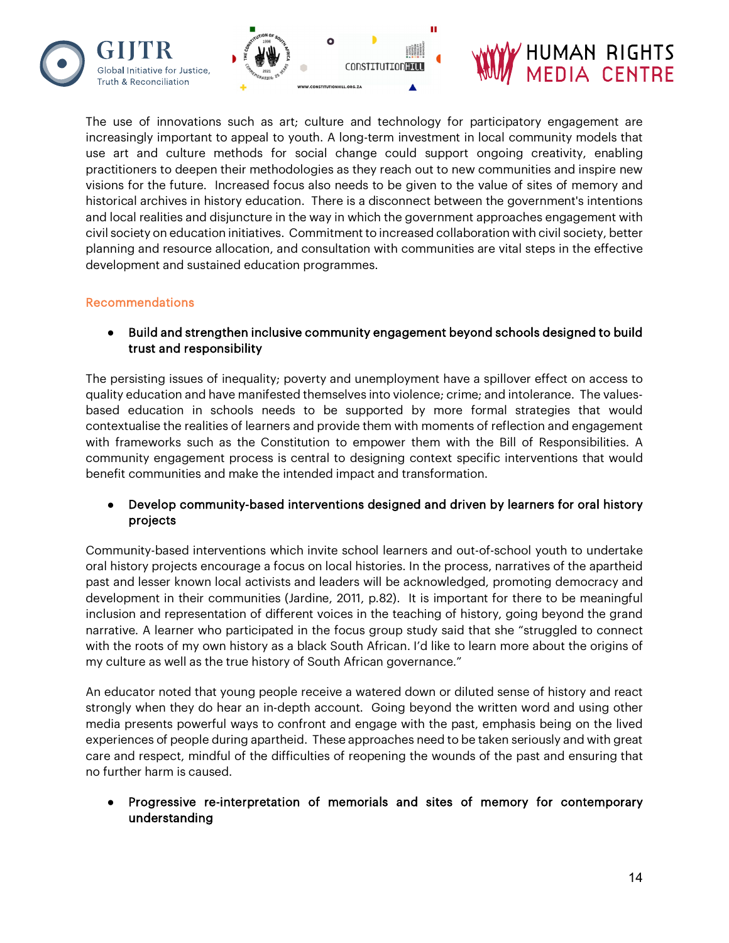



The use of innovations such as art; culture and technology for participatory engagement are increasingly important to appeal to youth. A long-term investment in local community models that use art and culture methods for social change could support ongoing creativity, enabling practitioners to deepen their methodologies as they reach out to new communities and inspire new visions for the future. Increased focus also needs to be given to the value of sites of memory and historical archives in history education. There is a disconnect between the government's intentions and local realities and disjuncture in the way in which the government approaches engagement with civil society on education initiatives. Commitment to increased collaboration with civil society, better planning and resource allocation, and consultation with communities are vital steps in the effective development and sustained education programmes.

#### Recommendations

**Truth & Reconciliation** 

● Build and strengthen inclusive community engagement beyond schools designed to build trust and responsibility

The persisting issues of inequality; poverty and unemployment have a spillover effect on access to quality education and have manifested themselves into violence; crime; and intolerance. The valuesbased education in schools needs to be supported by more formal strategies that would contextualise the realities of learners and provide them with moments of reflection and engagement with frameworks such as the Constitution to empower them with the Bill of Responsibilities. A community engagement process is central to designing context specific interventions that would benefit communities and make the intended impact and transformation.

#### • Develop community-based interventions designed and driven by learners for oral history projects

Community-based interventions which invite school learners and out-of-school youth to undertake oral history projects encourage a focus on local histories. In the process, narratives of the apartheid past and lesser known local activists and leaders will be acknowledged, promoting democracy and development in their communities (Jardine, 2011, p.82). It is important for there to be meaningful inclusion and representation of different voices in the teaching of history, going beyond the grand narrative. A learner who participated in the focus group study said that she "struggled to connect with the roots of my own history as a black South African. I'd like to learn more about the origins of my culture as well as the true history of South African governance."

An educator noted that young people receive a watered down or diluted sense of history and react strongly when they do hear an in-depth account. Going beyond the written word and using other media presents powerful ways to confront and engage with the past, emphasis being on the lived experiences of people during apartheid. These approaches need to be taken seriously and with great care and respect, mindful of the difficulties of reopening the wounds of the past and ensuring that no further harm is caused.

Progressive re-interpretation of memorials and sites of memory for contemporary understanding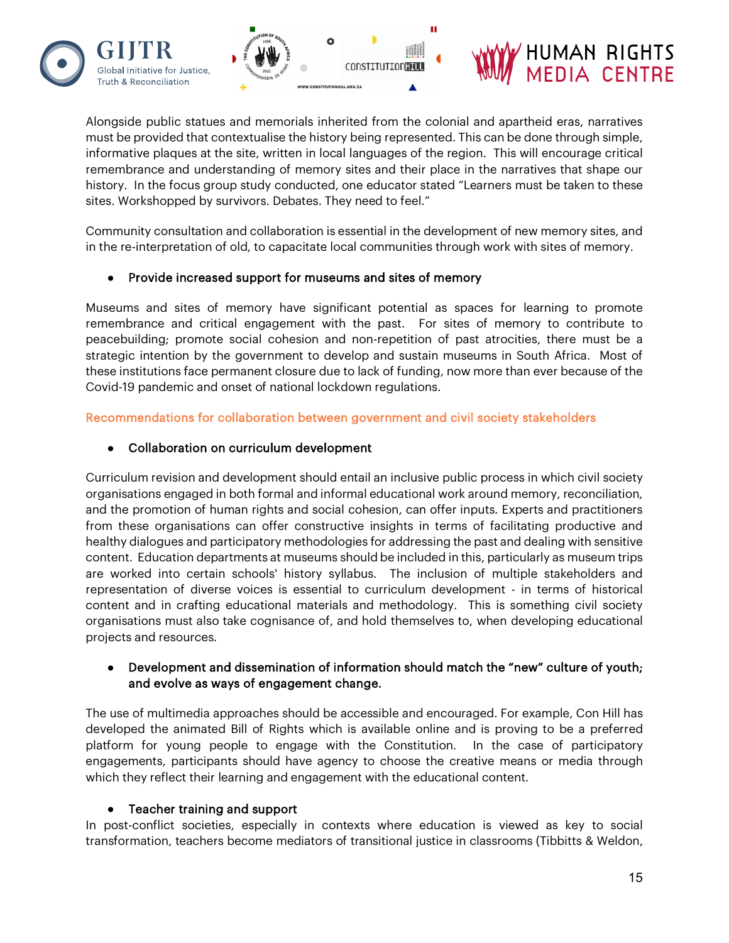

Alongside public statues and memorials inherited from the colonial and apartheid eras, narratives must be provided that contextualise the history being represented. This can be done through simple, informative plaques at the site, written in local languages of the region. This will encourage critical remembrance and understanding of memory sites and their place in the narratives that shape our history. In the focus group study conducted, one educator stated "Learners must be taken to these sites. Workshopped by survivors. Debates. They need to feel."

Community consultation and collaboration is essential in the development of new memory sites, and in the re-interpretation of old, to capacitate local communities through work with sites of memory.

#### ● Provide increased support for museums and sites of memory

Museums and sites of memory have significant potential as spaces for learning to promote remembrance and critical engagement with the past. For sites of memory to contribute to peacebuilding; promote social cohesion and non-repetition of past atrocities, there must be a strategic intention by the government to develop and sustain museums in South Africa. Most of these institutions face permanent closure due to lack of funding, now more than ever because of the Covid-19 pandemic and onset of national lockdown regulations.

Recommendations for collaboration between government and civil society stakeholders

#### ● Collaboration on curriculum development

Curriculum revision and development should entail an inclusive public process in which civil society organisations engaged in both formal and informal educational work around memory, reconciliation, and the promotion of human rights and social cohesion, can offer inputs. Experts and practitioners from these organisations can offer constructive insights in terms of facilitating productive and healthy dialogues and participatory methodologies for addressing the past and dealing with sensitive content. Education departments at museums should be included in this, particularly as museum trips are worked into certain schools' history syllabus. The inclusion of multiple stakeholders and representation of diverse voices is essential to curriculum development - in terms of historical content and in crafting educational materials and methodology. This is something civil society organisations must also take cognisance of, and hold themselves to, when developing educational projects and resources.

#### Development and dissemination of information should match the "new" culture of youth; and evolve as ways of engagement change.

The use of multimedia approaches should be accessible and encouraged. For example, Con Hill has developed the animated Bill of Rights which is available online and is proving to be a preferred platform for young people to engage with the Constitution. In the case of participatory engagements, participants should have agency to choose the creative means or media through which they reflect their learning and engagement with the educational content.

#### Teacher training and support

In post-conflict societies, especially in contexts where education is viewed as key to social transformation, teachers become mediators of transitional justice in classrooms (Tibbitts & Weldon,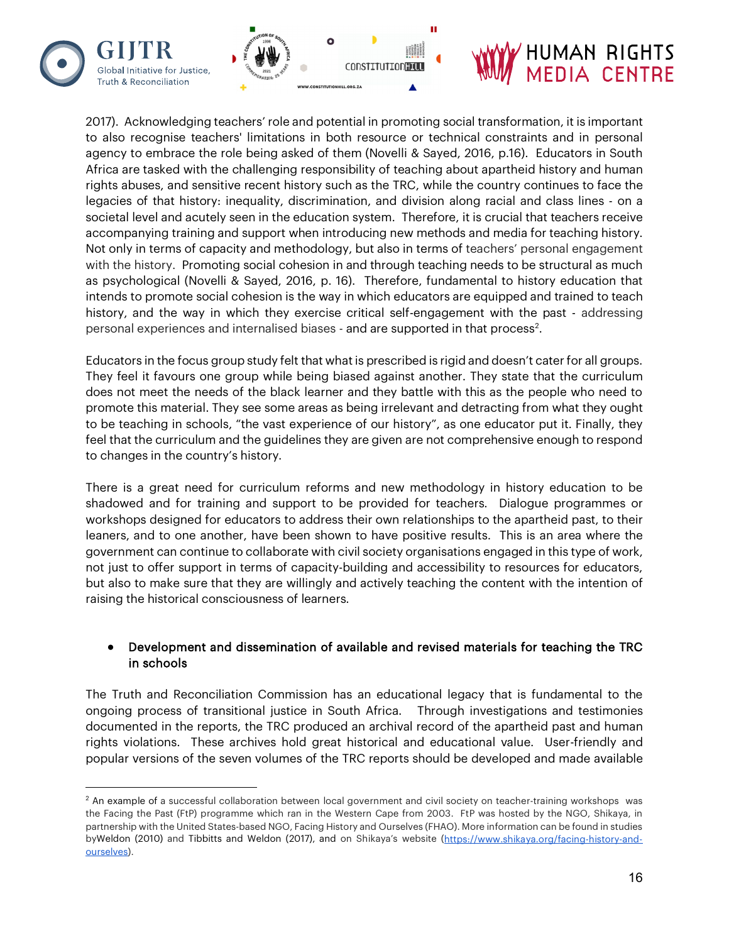

2017). Acknowledging teachers' role and potential in promoting social transformation, it is important to also recognise teachers' limitations in both resource or technical constraints and in personal agency to embrace the role being asked of them (Novelli & Sayed, 2016, p.16). Educators in South Africa are tasked with the challenging responsibility of teaching about apartheid history and human rights abuses, and sensitive recent history such as the TRC, while the country continues to face the legacies of that history: inequality, discrimination, and division along racial and class lines - on a societal level and acutely seen in the education system. Therefore, it is crucial that teachers receive accompanying training and support when introducing new methods and media for teaching history. Not only in terms of capacity and methodology, but also in terms of teachers' personal engagement with the history. Promoting social cohesion in and through teaching needs to be structural as much as psychological (Novelli & Sayed, 2016, p. 16). Therefore, fundamental to history education that intends to promote social cohesion is the way in which educators are equipped and trained to teach history, and the way in which they exercise critical self-engagement with the past - addressing personal experiences and internalised biases - and are supported in that process<sup>[2](#page-16-0)</sup>.

Educators in the focus group study felt that what is prescribed is rigid and doesn't cater for all groups. They feel it favours one group while being biased against another. They state that the curriculum does not meet the needs of the black learner and they battle with this as the people who need to promote this material. They see some areas as being irrelevant and detracting from what they ought to be teaching in schools, "the vast experience of our history", as one educator put it. Finally, they feel that the curriculum and the guidelines they are given are not comprehensive enough to respond to changes in the country's history.

There is a great need for curriculum reforms and new methodology in history education to be shadowed and for training and support to be provided for teachers. Dialogue programmes or workshops designed for educators to address their own relationships to the apartheid past, to their leaners, and to one another, have been shown to have positive results. This is an area where the government can continue to collaborate with civil society organisations engaged in this type of work, not just to offer support in terms of capacity-building and accessibility to resources for educators, but also to make sure that they are willingly and actively teaching the content with the intention of raising the historical consciousness of learners.

#### Development and dissemination of available and revised materials for teaching the TRC in schools

The Truth and Reconciliation Commission has an educational legacy that is fundamental to the ongoing process of transitional justice in South Africa. Through investigations and testimonies documented in the reports, the TRC produced an archival record of the apartheid past and human rights violations. These archives hold great historical and educational value. User-friendly and popular versions of the seven volumes of the TRC reports should be developed and made available

<span id="page-16-0"></span><sup>&</sup>lt;sup>2</sup> An example of a successful collaboration between local government and civil society on teacher-training workshops was the Facing the Past (FtP) programme which ran in the Western Cape from 2003. FtP was hosted by the NGO, Shikaya, in partnership with the United States-based NGO, Facing History and Ourselves (FHAO). More information can be found in studies byWeldon (2010) and Tibbitts and Weldon (2017), and on Shikaya's website [\(https://www.shikaya.org/facing-history-and](https://www.shikaya.org/facing-history-and-ourselves)[ourselves\)](https://www.shikaya.org/facing-history-and-ourselves).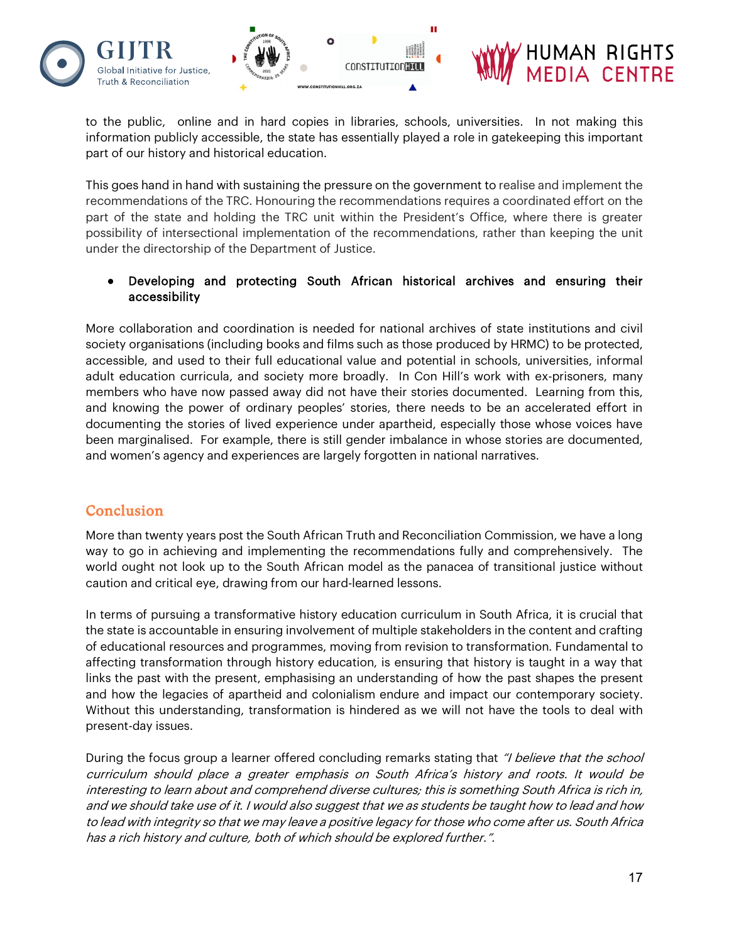

to the public, online and in hard copies in libraries, schools, universities. In not making this information publicly accessible, the state has essentially played a role in gatekeeping this important part of our history and historical education.

This goes hand in hand with sustaining the pressure on the government to realise and implement the recommendations of the TRC. Honouring the recommendations requires a coordinated effort on the part of the state and holding the TRC unit within the President's Office, where there is greater possibility of intersectional implementation of the recommendations, rather than keeping the unit under the directorship of the Department of Justice.

#### Developing and protecting South African historical archives and ensuring their accessibility

More collaboration and coordination is needed for national archives of state institutions and civil society organisations (including books and films such as those produced by HRMC) to be protected, accessible, and used to their full educational value and potential in schools, universities, informal adult education curricula, and society more broadly. In Con Hill's work with ex-prisoners, many members who have now passed away did not have their stories documented. Learning from this, and knowing the power of ordinary peoples' stories, there needs to be an accelerated effort in documenting the stories of lived experience under apartheid, especially those whose voices have been marginalised. For example, there is still gender imbalance in whose stories are documented, and women's agency and experiences are largely forgotten in national narratives.

### **Conclusion**

More than twenty years post the South African Truth and Reconciliation Commission, we have a long way to go in achieving and implementing the recommendations fully and comprehensively. The world ought not look up to the South African model as the panacea of transitional justice without caution and critical eye, drawing from our hard-learned lessons.

In terms of pursuing a transformative history education curriculum in South Africa, it is crucial that the state is accountable in ensuring involvement of multiple stakeholders in the content and crafting of educational resources and programmes, moving from revision to transformation. Fundamental to affecting transformation through history education, is ensuring that history is taught in a way that links the past with the present, emphasising an understanding of how the past shapes the present and how the legacies of apartheid and colonialism endure and impact our contemporary society. Without this understanding, transformation is hindered as we will not have the tools to deal with present-day issues.

During the focus group a learner offered concluding remarks stating that "I believe that the school curriculum should place a greater emphasis on South Africa's history and roots. It would be interesting to learn about and comprehend diverse cultures; this is something South Africa is rich in, and we should take use of it. I would also suggest that we as students be taught how to lead and how to lead with integrity so that we may leave a positive legacy for those who come after us. South Africa has a rich history and culture, both of which should be explored further.".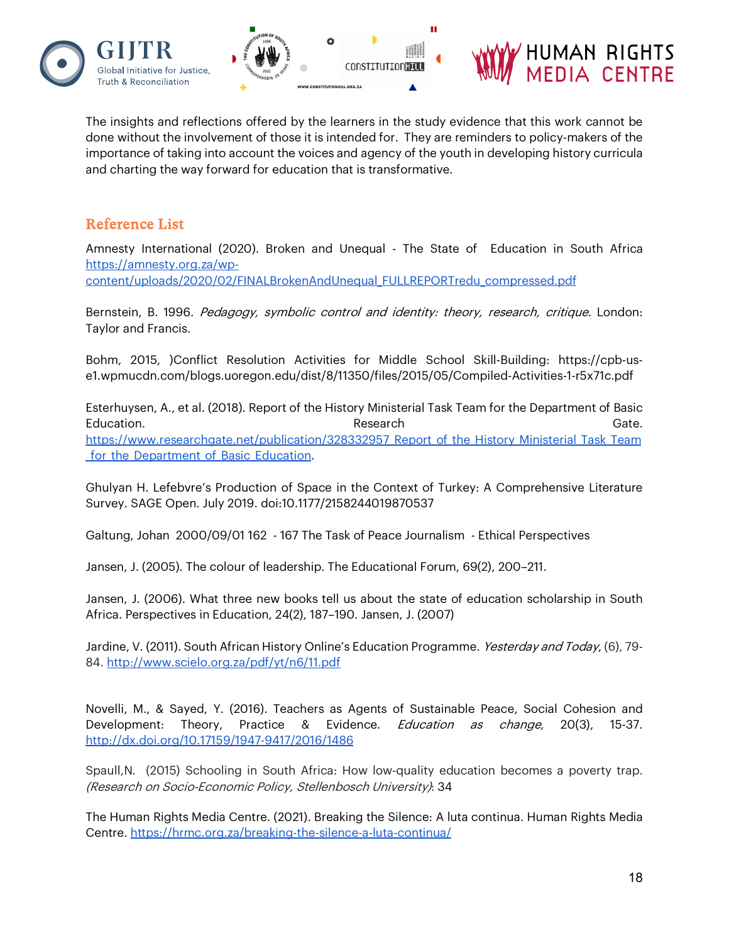





The insights and reflections offered by the learners in the study evidence that this work cannot be done without the involvement of those it is intended for. They are reminders to policy-makers of the importance of taking into account the voices and agency of the youth in developing history curricula and charting the way forward for education that is transformative.

### Reference List

Amnesty International (2020). Broken and Unequal - The State of Education in South Africa [https://amnesty.org.za/wp](https://amnesty.org.za/wp-content/uploads/2020/02/FINALBrokenAndUnequal_FULLREPORTredu_compressed.pdf)[content/uploads/2020/02/FINALBrokenAndUnequal\\_FULLREPORTredu\\_compressed.pdf](https://amnesty.org.za/wp-content/uploads/2020/02/FINALBrokenAndUnequal_FULLREPORTredu_compressed.pdf)

Bernstein, B. 1996. Pedagogy, symbolic control and identity: theory, research, critique. London: Taylor and Francis.

Bohm, 2015, )Conflict Resolution Activities for Middle School Skill-Building: https://cpb-use1.wpmucdn.com/blogs.uoregon.edu/dist/8/11350/files/2015/05/Compiled-Activities-1-r5x71c.pdf

Esterhuysen, A., et al. (2018). Report of the History Ministerial Task Team for the Department of Basic Education. Research Gate. https://www.researchgate.net/publication/328332957 Report of the History Ministerial Task Team for the Department of Basic Education.

Ghulyan H. Lefebvre's Production of Space in the Context of Turkey: A Comprehensive Literature Survey. SAGE Open. July 2019. doi:10.1177/2158244019870537

Galtung, Johan 2000/09/01 162 - 167 The Task of Peace Journalism - Ethical Perspectives

Jansen, J. (2005). The colour of leadership. The Educational Forum, 69(2), 200–211.

Jansen, J. (2006). What three new books tell us about the state of education scholarship in South Africa. Perspectives in Education, 24(2), 187–190. Jansen, J. (2007)

Jardine, V. (2011). South African History Online's Education Programme. Yesterday and Today, (6), 79-84[. http://www.scielo.org.za/pdf/yt/n6/11.pdf](http://www.scielo.org.za/pdf/yt/n6/11.pdf)

Novelli, M., & Sayed, Y. (2016). Teachers as Agents of Sustainable Peace, Social Cohesion and Development: Theory, Practice & Evidence. *Education as change*, 20(3), 15-37. <http://dx.doi.org/10.17159/1947-9417/2016/1486>

Spaull,N. (2015) Schooling in South Africa: How low-quality education becomes a poverty trap. (Research on Socio-Economic Policy, Stellenbosch University): 34

The Human Rights Media Centre. (2021). Breaking the Silence: A luta continua. Human Rights Media Centre. <https://hrmc.org.za/breaking-the-silence-a-luta-continua/>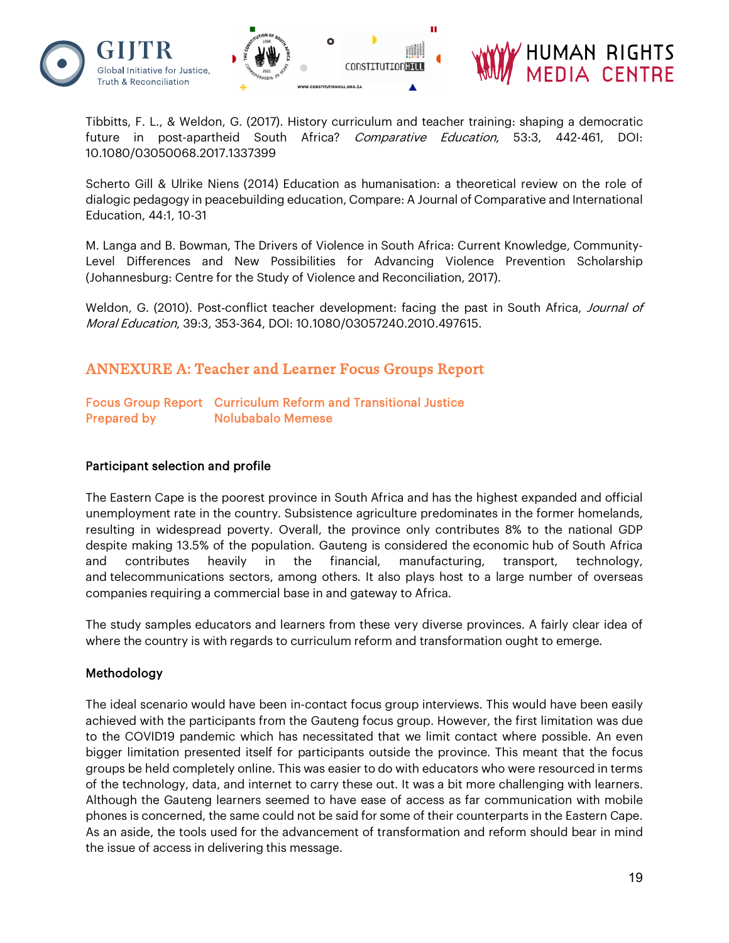

Tibbitts, F. L., & Weldon, G. (2017). History curriculum and teacher training: shaping a democratic future in post-apartheid South Africa? Comparative Education, 53:3, 442-461, DOI: 10.1080/03050068.2017.1337399

Scherto Gill & Ulrike Niens (2014) Education as humanisation: a theoretical review on the role of dialogic pedagogy in peacebuilding education, Compare: A Journal of Comparative and International Education, 44:1, 10-31

M. Langa and B. Bowman, The Drivers of Violence in South Africa: Current Knowledge, Community-Level Differences and New Possibilities for Advancing Violence Prevention Scholarship (Johannesburg: Centre for the Study of Violence and Reconciliation, 2017).

Weldon, G. (2010). Post-conflict teacher development: facing the past in South Africa, Journal of Moral Education, 39:3, 353-364, DOI: 10.1080/03057240.2010.497615.

### ANNEXURE A: Teacher and Learner Focus Groups Report

#### Focus Group Report Curriculum Reform and Transitional Justice Prepared by **Nolubabalo Memese**

#### Participant selection and profile

The Eastern Cape is the poorest province in South Africa and has the highest expanded and official unemployment rate in the country. Subsistence agriculture predominates in the former homelands, resulting in widespread poverty. Overall, the province only contributes 8% to the national GDP despite making 13.5% of the population. Gauteng is considered the economic hub of South Africa and contributes heavily in the financial, manufacturing, transport, technology, and telecommunications sectors, among others. It also plays host to a large number of overseas companies requiring a commercial base in and gateway to Africa.

The study samples educators and learners from these very diverse provinces. A fairly clear idea of where the country is with regards to curriculum reform and transformation ought to emerge.

#### Methodology

The ideal scenario would have been in-contact focus group interviews. This would have been easily achieved with the participants from the Gauteng focus group. However, the first limitation was due to the COVID19 pandemic which has necessitated that we limit contact where possible. An even bigger limitation presented itself for participants outside the province. This meant that the focus groups be held completely online. This was easier to do with educators who were resourced in terms of the technology, data, and internet to carry these out. It was a bit more challenging with learners. Although the Gauteng learners seemed to have ease of access as far communication with mobile phones is concerned, the same could not be said for some of their counterparts in the Eastern Cape. As an aside, the tools used for the advancement of transformation and reform should bear in mind the issue of access in delivering this message.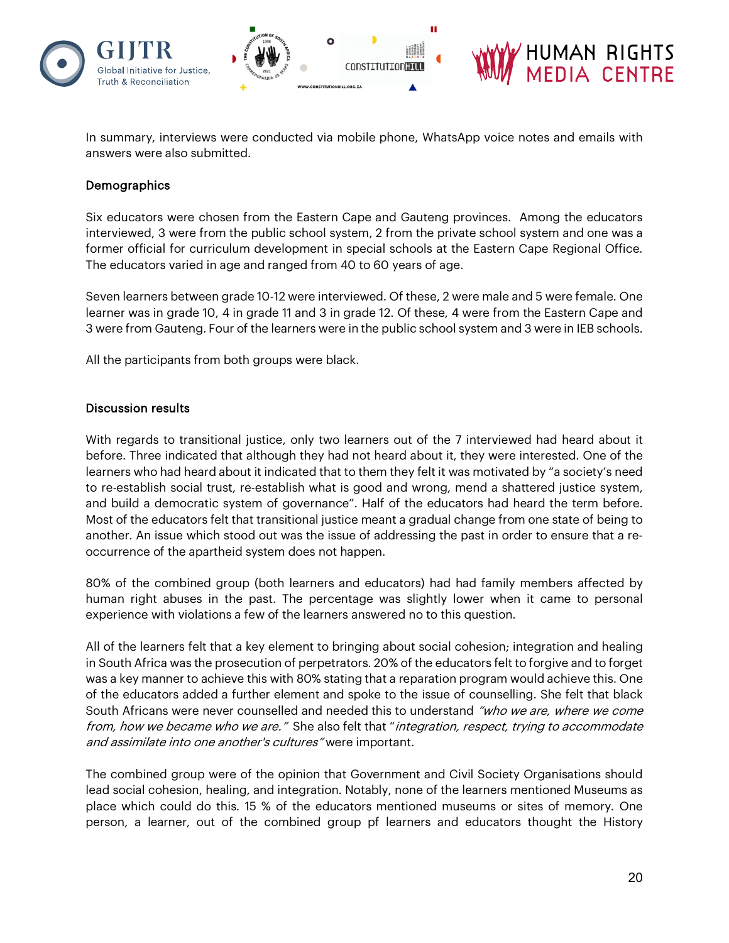

In summary, interviews were conducted via mobile phone, WhatsApp voice notes and emails with answers were also submitted.

#### **Demographics**

Six educators were chosen from the Eastern Cape and Gauteng provinces. Among the educators interviewed, 3 were from the public school system, 2 from the private school system and one was a former official for curriculum development in special schools at the Eastern Cape Regional Office. The educators varied in age and ranged from 40 to 60 years of age.

Seven learners between grade 10-12 were interviewed. Of these, 2 were male and 5 were female. One learner was in grade 10, 4 in grade 11 and 3 in grade 12. Of these, 4 were from the Eastern Cape and 3 were from Gauteng. Four of the learners were in the public school system and 3 were in IEB schools.

All the participants from both groups were black.

#### Discussion results

With regards to transitional justice, only two learners out of the 7 interviewed had heard about it before. Three indicated that although they had not heard about it, they were interested. One of the learners who had heard about it indicated that to them they felt it was motivated by "a society's need to re-establish social trust, re-establish what is good and wrong, mend a shattered justice system, and build a democratic system of governance". Half of the educators had heard the term before. Most of the educators felt that transitional justice meant a gradual change from one state of being to another. An issue which stood out was the issue of addressing the past in order to ensure that a reoccurrence of the apartheid system does not happen.

80% of the combined group (both learners and educators) had had family members affected by human right abuses in the past. The percentage was slightly lower when it came to personal experience with violations a few of the learners answered no to this question.

All of the learners felt that a key element to bringing about social cohesion; integration and healing in South Africa was the prosecution of perpetrators. 20% of the educators felt to forgive and to forget was a key manner to achieve this with 80% stating that a reparation program would achieve this. One of the educators added a further element and spoke to the issue of counselling. She felt that black South Africans were never counselled and needed this to understand "who we are, where we come from, how we became who we are." She also felt that "integration, respect, trying to accommodate and assimilate into one another's cultures" were important.

The combined group were of the opinion that Government and Civil Society Organisations should lead social cohesion, healing, and integration. Notably, none of the learners mentioned Museums as place which could do this. 15 % of the educators mentioned museums or sites of memory. One person, a learner, out of the combined group pf learners and educators thought the History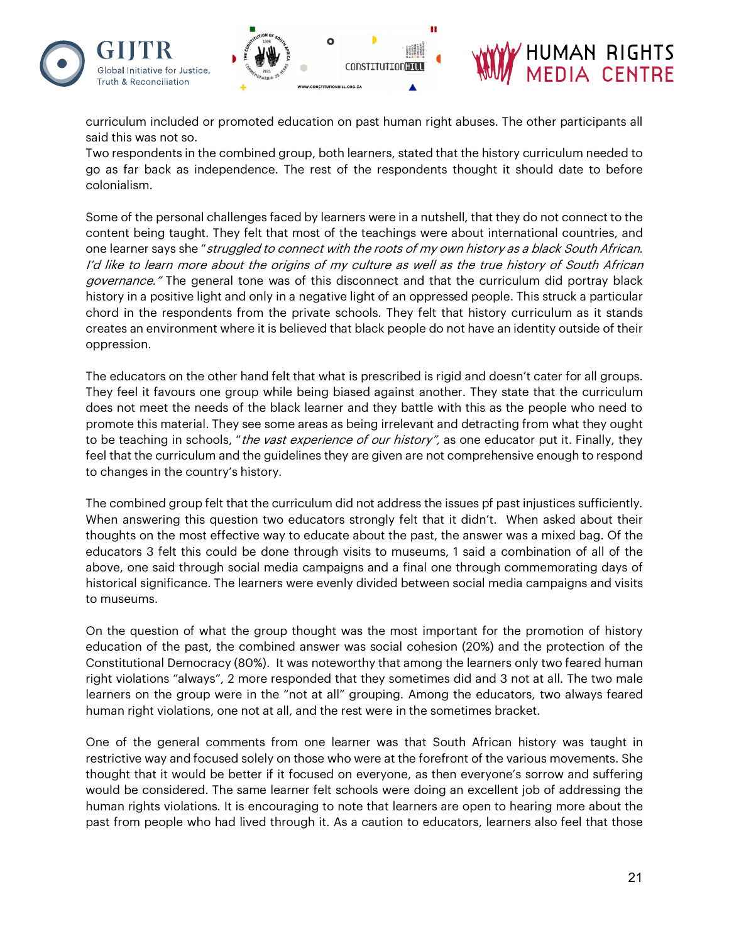

curriculum included or promoted education on past human right abuses. The other participants all said this was not so.

Two respondents in the combined group, both learners, stated that the history curriculum needed to go as far back as independence. The rest of the respondents thought it should date to before colonialism.

Some of the personal challenges faced by learners were in a nutshell, that they do not connect to the content being taught. They felt that most of the teachings were about international countries, and one learner says she "struggled to connect with the roots of my own history as a black South African. I'd like to learn more about the origins of my culture as well as the true history of South African governance." The general tone was of this disconnect and that the curriculum did portray black history in a positive light and only in a negative light of an oppressed people. This struck a particular chord in the respondents from the private schools. They felt that history curriculum as it stands creates an environment where it is believed that black people do not have an identity outside of their oppression.

The educators on the other hand felt that what is prescribed is rigid and doesn't cater for all groups. They feel it favours one group while being biased against another. They state that the curriculum does not meet the needs of the black learner and they battle with this as the people who need to promote this material. They see some areas as being irrelevant and detracting from what they ought to be teaching in schools, "the vast experience of our history", as one educator put it. Finally, they feel that the curriculum and the guidelines they are given are not comprehensive enough to respond to changes in the country's history.

The combined group felt that the curriculum did not address the issues pf past injustices sufficiently. When answering this question two educators strongly felt that it didn't. When asked about their thoughts on the most effective way to educate about the past, the answer was a mixed bag. Of the educators 3 felt this could be done through visits to museums, 1 said a combination of all of the above, one said through social media campaigns and a final one through commemorating days of historical significance. The learners were evenly divided between social media campaigns and visits to museums.

On the question of what the group thought was the most important for the promotion of history education of the past, the combined answer was social cohesion (20%) and the protection of the Constitutional Democracy (80%). It was noteworthy that among the learners only two feared human right violations "always", 2 more responded that they sometimes did and 3 not at all. The two male learners on the group were in the "not at all" grouping. Among the educators, two always feared human right violations, one not at all, and the rest were in the sometimes bracket.

One of the general comments from one learner was that South African history was taught in restrictive way and focused solely on those who were at the forefront of the various movements. She thought that it would be better if it focused on everyone, as then everyone's sorrow and suffering would be considered. The same learner felt schools were doing an excellent job of addressing the human rights violations. It is encouraging to note that learners are open to hearing more about the past from people who had lived through it. As a caution to educators, learners also feel that those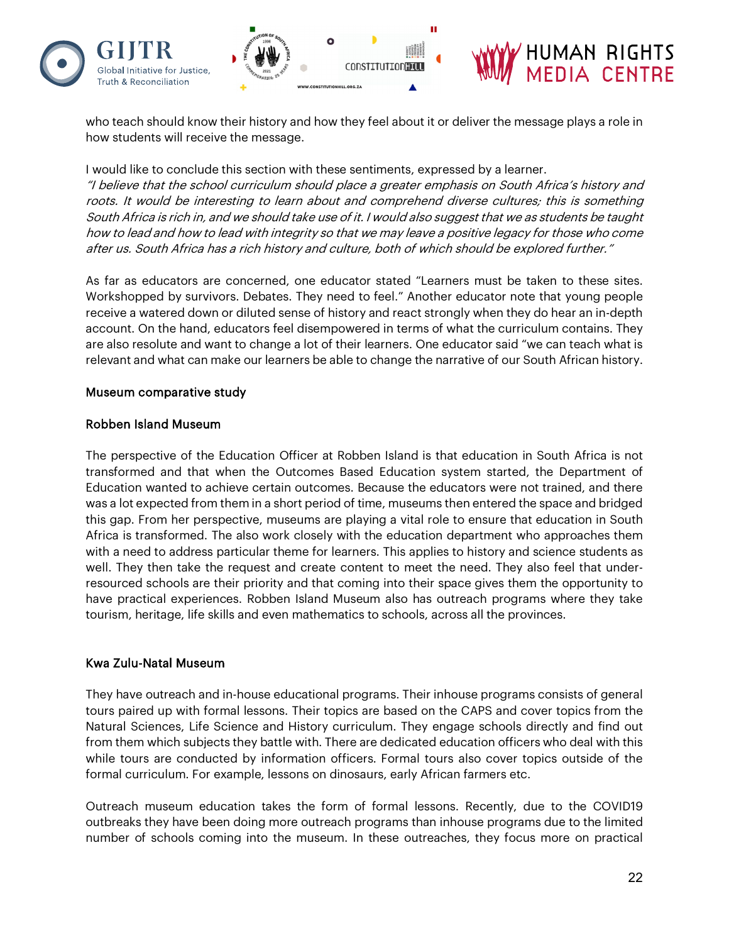

who teach should know their history and how they feel about it or deliver the message plays a role in how students will receive the message.

I would like to conclude this section with these sentiments, expressed by a learner.

"I believe that the school curriculum should place a greater emphasis on South Africa's history and roots. It would be interesting to learn about and comprehend diverse cultures; this is something South Africa is rich in, and we should take use of it. I would also suggest that we as students be taught how to lead and how to lead with integrity so that we may leave a positive legacy for those who come after us. South Africa has a rich history and culture, both of which should be explored further."

As far as educators are concerned, one educator stated "Learners must be taken to these sites. Workshopped by survivors. Debates. They need to feel." Another educator note that young people receive a watered down or diluted sense of history and react strongly when they do hear an in-depth account. On the hand, educators feel disempowered in terms of what the curriculum contains. They are also resolute and want to change a lot of their learners. One educator said "we can teach what is relevant and what can make our learners be able to change the narrative of our South African history.

#### Museum comparative study

#### Robben Island Museum

The perspective of the Education Officer at Robben Island is that education in South Africa is not transformed and that when the Outcomes Based Education system started, the Department of Education wanted to achieve certain outcomes. Because the educators were not trained, and there was a lot expected from them in a short period of time, museums then entered the space and bridged this gap. From her perspective, museums are playing a vital role to ensure that education in South Africa is transformed. The also work closely with the education department who approaches them with a need to address particular theme for learners. This applies to history and science students as well. They then take the request and create content to meet the need. They also feel that underresourced schools are their priority and that coming into their space gives them the opportunity to have practical experiences. Robben Island Museum also has outreach programs where they take tourism, heritage, life skills and even mathematics to schools, across all the provinces.

#### Kwa Zulu-Natal Museum

They have outreach and in-house educational programs. Their inhouse programs consists of general tours paired up with formal lessons. Their topics are based on the CAPS and cover topics from the Natural Sciences, Life Science and History curriculum. They engage schools directly and find out from them which subjects they battle with. There are dedicated education officers who deal with this while tours are conducted by information officers. Formal tours also cover topics outside of the formal curriculum. For example, lessons on dinosaurs, early African farmers etc.

Outreach museum education takes the form of formal lessons. Recently, due to the COVID19 outbreaks they have been doing more outreach programs than inhouse programs due to the limited number of schools coming into the museum. In these outreaches, they focus more on practical